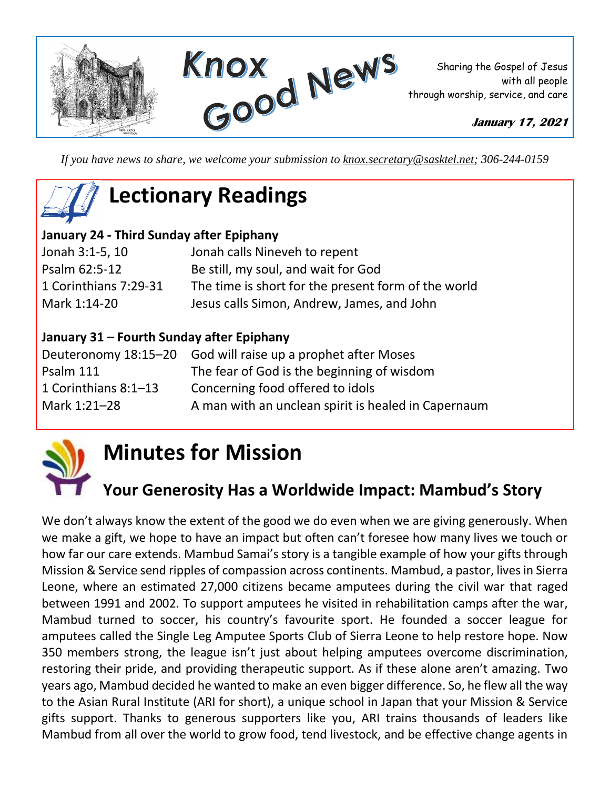

*If you have news to share, we welcome your submission to [knox.secretary@sasktel.net;](mailto:knox.secretary@sasktel.net) 306-244-0159*

# **Lectionary Readings**

### **January 24 - Third Sunday after Epiphany**

| Jonah 3:1-5, 10       | Jonah calls Nineveh to repent                       |
|-----------------------|-----------------------------------------------------|
| Psalm 62:5-12         | Be still, my soul, and wait for God                 |
| 1 Corinthians 7:29-31 | The time is short for the present form of the world |
| Mark 1:14-20          | Jesus calls Simon, Andrew, James, and John          |

#### **January 31 – Fourth Sunday after Epiphany**

|                      | Deuteronomy 18:15–20 God will raise up a prophet after Moses |
|----------------------|--------------------------------------------------------------|
| Psalm 111            | The fear of God is the beginning of wisdom                   |
| 1 Corinthians 8:1-13 | Concerning food offered to idols                             |
| Mark 1:21-28         | A man with an unclean spirit is healed in Capernaum          |



## **Minutes for Mission**

### **Your Generosity Has a Worldwide Impact: Mambud's Story**

We don't always know the extent of the good we do even when we are giving generously. When we make a gift, we hope to have an impact but often can't foresee how many lives we touch or how far our care extends. Mambud Samai's story is a tangible example of how your gifts through Mission & Service send ripples of compassion across continents. Mambud, a pastor, lives in Sierra Leone, where an estimated 27,000 citizens became amputees during the civil war that raged between 1991 and 2002. To support amputees he visited in rehabilitation camps after the war, Mambud turned to soccer, his country's favourite sport. He founded a soccer league for amputees called the Single Leg Amputee Sports Club of Sierra Leone to help restore hope. Now 350 members strong, the league isn't just about helping amputees overcome discrimination, restoring their pride, and providing therapeutic support. As if these alone aren't amazing. Two years ago, Mambud decided he wanted to make an even bigger difference. So, he flew all the way to the Asian Rural Institute (ARI for short), a unique school in Japan that your Mission & Service gifts support. Thanks to generous supporters like you, ARI trains thousands of leaders like Mambud from all over the world to grow food, tend livestock, and be effective change agents in